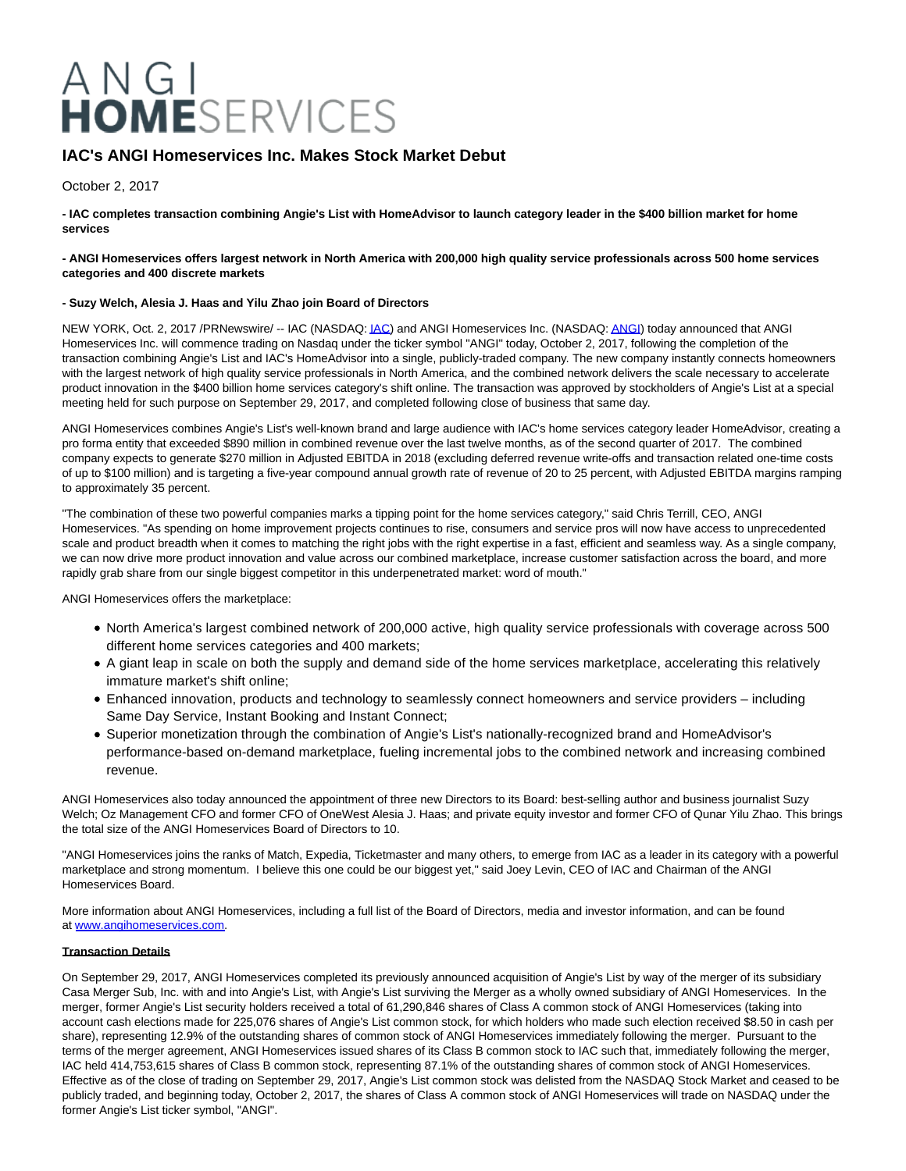# A N G I<br>HOMESERVICES

# **IAC's ANGI Homeservices Inc. Makes Stock Market Debut**

October 2, 2017

**- IAC completes transaction combining Angie's List with HomeAdvisor to launch category leader in the \$400 billion market for home services**

### **- ANGI Homeservices offers largest network in North America with 200,000 high quality service professionals across 500 home services categories and 400 discrete markets**

### **- Suzy Welch, Alesia J. Haas and Yilu Zhao join Board of Directors**

NEW YORK, Oct. 2, 2017 /PRNewswire/ -- IAC (NASDAQ[: IAC\)](http://studio-5.financialcontent.com/prnews?Page=Quote&Ticker=IAC) and ANGI Homeservices Inc. (NASDAQ[: ANGI\)](http://studio-5.financialcontent.com/prnews?Page=Quote&Ticker=ANGI) today announced that ANGI Homeservices Inc. will commence trading on Nasdaq under the ticker symbol "ANGI" today, October 2, 2017, following the completion of the transaction combining Angie's List and IAC's HomeAdvisor into a single, publicly-traded company. The new company instantly connects homeowners with the largest network of high quality service professionals in North America, and the combined network delivers the scale necessary to accelerate product innovation in the \$400 billion home services category's shift online. The transaction was approved by stockholders of Angie's List at a special meeting held for such purpose on September 29, 2017, and completed following close of business that same day.

ANGI Homeservices combines Angie's List's well-known brand and large audience with IAC's home services category leader HomeAdvisor, creating a pro forma entity that exceeded \$890 million in combined revenue over the last twelve months, as of the second quarter of 2017. The combined company expects to generate \$270 million in Adjusted EBITDA in 2018 (excluding deferred revenue write-offs and transaction related one-time costs of up to \$100 million) and is targeting a five-year compound annual growth rate of revenue of 20 to 25 percent, with Adjusted EBITDA margins ramping to approximately 35 percent.

"The combination of these two powerful companies marks a tipping point for the home services category," said Chris Terrill, CEO, ANGI Homeservices. "As spending on home improvement projects continues to rise, consumers and service pros will now have access to unprecedented scale and product breadth when it comes to matching the right jobs with the right expertise in a fast, efficient and seamless way. As a single company, we can now drive more product innovation and value across our combined marketplace, increase customer satisfaction across the board, and more rapidly grab share from our single biggest competitor in this underpenetrated market: word of mouth."

ANGI Homeservices offers the marketplace:

- North America's largest combined network of 200,000 active, high quality service professionals with coverage across 500 different home services categories and 400 markets;
- A giant leap in scale on both the supply and demand side of the home services marketplace, accelerating this relatively immature market's shift online;
- Enhanced innovation, products and technology to seamlessly connect homeowners and service providers including Same Day Service, Instant Booking and Instant Connect;
- Superior monetization through the combination of Angie's List's nationally-recognized brand and HomeAdvisor's performance-based on-demand marketplace, fueling incremental jobs to the combined network and increasing combined revenue.

ANGI Homeservices also today announced the appointment of three new Directors to its Board: best-selling author and business journalist Suzy Welch; Oz Management CFO and former CFO of OneWest Alesia J. Haas; and private equity investor and former CFO of Qunar Yilu Zhao. This brings the total size of the ANGI Homeservices Board of Directors to 10.

"ANGI Homeservices joins the ranks of Match, Expedia, Ticketmaster and many others, to emerge from IAC as a leader in its category with a powerful marketplace and strong momentum. I believe this one could be our biggest yet," said Joey Levin, CEO of IAC and Chairman of the ANGI Homeservices Board.

More information about ANGI Homeservices, including a full list of the Board of Directors, media and investor information, and can be found at [www.angihomeservices.com.](http://www.angihomeservices.com/) 

### **Transaction Details**

On September 29, 2017, ANGI Homeservices completed its previously announced acquisition of Angie's List by way of the merger of its subsidiary Casa Merger Sub, Inc. with and into Angie's List, with Angie's List surviving the Merger as a wholly owned subsidiary of ANGI Homeservices. In the merger, former Angie's List security holders received a total of 61,290,846 shares of Class A common stock of ANGI Homeservices (taking into account cash elections made for 225,076 shares of Angie's List common stock, for which holders who made such election received \$8.50 in cash per share), representing 12.9% of the outstanding shares of common stock of ANGI Homeservices immediately following the merger. Pursuant to the terms of the merger agreement, ANGI Homeservices issued shares of its Class B common stock to IAC such that, immediately following the merger, IAC held 414,753,615 shares of Class B common stock, representing 87.1% of the outstanding shares of common stock of ANGI Homeservices. Effective as of the close of trading on September 29, 2017, Angie's List common stock was delisted from the NASDAQ Stock Market and ceased to be publicly traded, and beginning today, October 2, 2017, the shares of Class A common stock of ANGI Homeservices will trade on NASDAQ under the former Angie's List ticker symbol, "ANGI".